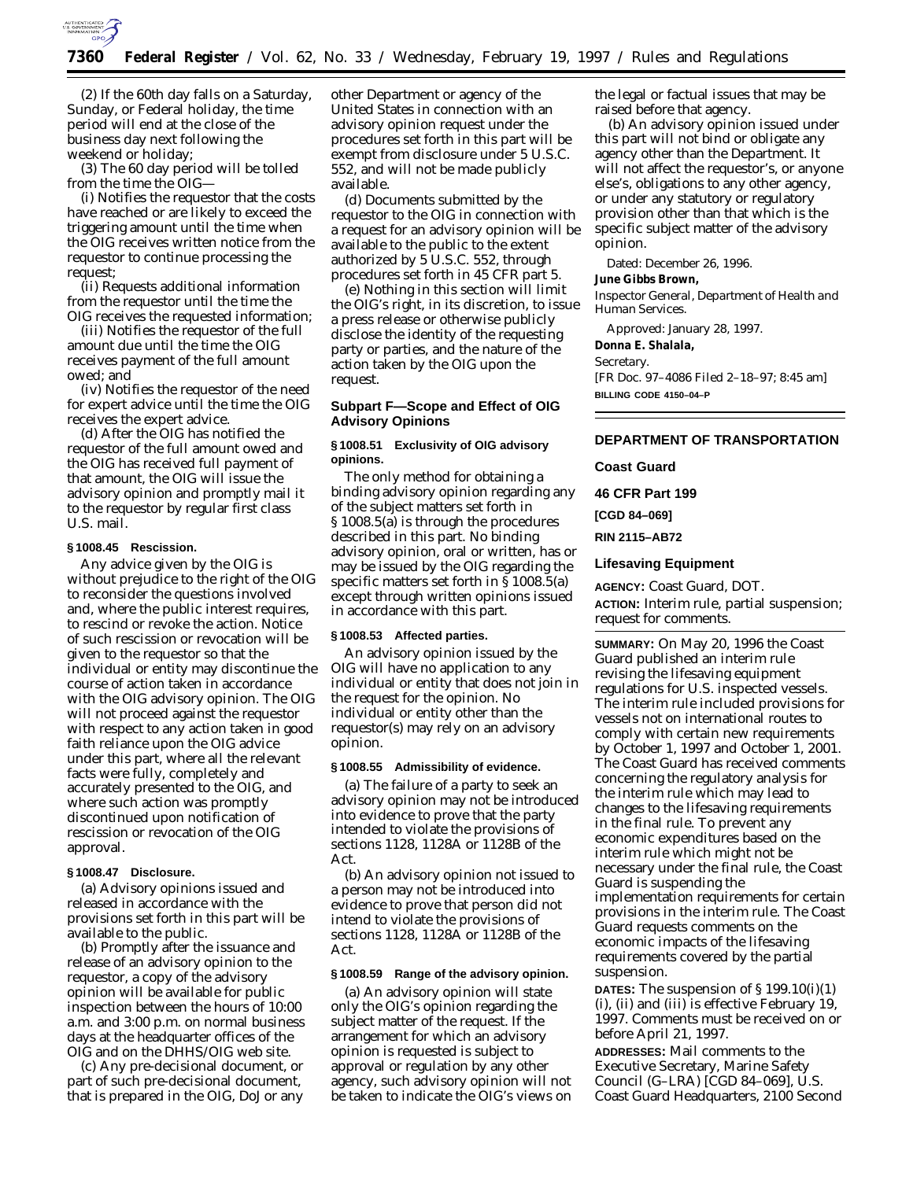

(2) If the 60th day falls on a Saturday, Sunday, or Federal holiday, the time period will end at the close of the business day next following the weekend or holiday;

(3) The 60 day period will be tolled from the time the OIG—

(i) Notifies the requestor that the costs have reached or are likely to exceed the triggering amount until the time when the OIG receives written notice from the requestor to continue processing the request;

(ii) Requests additional information from the requestor until the time the OIG receives the requested information;

(iii) Notifies the requestor of the full amount due until the time the OIG receives payment of the full amount owed; and

(iv) Notifies the requestor of the need for expert advice until the time the OIG receives the expert advice.

(d) After the OIG has notified the requestor of the full amount owed and the OIG has received full payment of that amount, the OIG will issue the advisory opinion and promptly mail it to the requestor by regular first class U.S. mail.

# **§ 1008.45 Rescission.**

Any advice given by the OIG is without prejudice to the right of the OIG to reconsider the questions involved and, where the public interest requires, to rescind or revoke the action. Notice of such rescission or revocation will be given to the requestor so that the individual or entity may discontinue the course of action taken in accordance with the OIG advisory opinion. The OIG will not proceed against the requestor with respect to any action taken in good faith reliance upon the OIG advice under this part, where all the relevant facts were fully, completely and accurately presented to the OIG, and where such action was promptly discontinued upon notification of rescission or revocation of the OIG approval.

#### **§ 1008.47 Disclosure.**

(a) Advisory opinions issued and released in accordance with the provisions set forth in this part will be available to the public.

(b) Promptly after the issuance and release of an advisory opinion to the requestor, a copy of the advisory opinion will be available for public inspection between the hours of 10:00 a.m. and 3:00 p.m. on normal business days at the headquarter offices of the OIG and on the DHHS/OIG web site.

(c) Any pre-decisional document, or part of such pre-decisional document, that is prepared in the OIG, DoJ or any other Department or agency of the United States in connection with an advisory opinion request under the procedures set forth in this part will be exempt from disclosure under 5 U.S.C. 552, and will not be made publicly available.

(d) Documents submitted by the requestor to the OIG in connection with a request for an advisory opinion will be available to the public to the extent authorized by 5 U.S.C. 552, through procedures set forth in 45 CFR part 5.

(e) Nothing in this section will limit the OIG's right, in its discretion, to issue a press release or otherwise publicly disclose the identity of the requesting party or parties, and the nature of the action taken by the OIG upon the request.

# **Subpart F—Scope and Effect of OIG Advisory Opinions**

#### **§ 1008.51 Exclusivity of OIG advisory opinions.**

The only method for obtaining a binding advisory opinion regarding any of the subject matters set forth in § 1008.5(a) is through the procedures described in this part. No binding advisory opinion, oral or written, has or may be issued by the OIG regarding the specific matters set forth in § 1008.5(a) except through written opinions issued in accordance with this part.

## **§ 1008.53 Affected parties.**

An advisory opinion issued by the OIG will have no application to any individual or entity that does not join in the request for the opinion. No individual or entity other than the requestor(s) may rely on an advisory opinion.

#### **§ 1008.55 Admissibility of evidence.**

(a) The failure of a party to seek an advisory opinion may not be introduced into evidence to prove that the party intended to violate the provisions of sections 1128, 1128A or 1128B of the Act.

(b) An advisory opinion not issued to a person may not be introduced into evidence to prove that person did not intend to violate the provisions of sections 1128, 1128A or 1128B of the Act.

### **§ 1008.59 Range of the advisory opinion.**

(a) An advisory opinion will state only the OIG's opinion regarding the subject matter of the request. If the arrangement for which an advisory opinion is requested is subject to approval or regulation by any other agency, such advisory opinion will not be taken to indicate the OIG's views on the legal or factual issues that may be raised before that agency.

(b) An advisory opinion issued under this part will not bind or obligate any agency other than the Department. It will not affect the requestor's, or anyone else's, obligations to any other agency, or under any statutory or regulatory provision other than that which is the specific subject matter of the advisory opinion.

Dated: December 26, 1996.

# **June Gibbs Brown,**

*Inspector General, Department of Health and Human Services.*

Approved: January 28, 1997. **Donna E. Shalala,** *Secretary.* [FR Doc. 97–4086 Filed 2–18–97; 8:45 am] **BILLING CODE 4150–04–P**

## **DEPARTMENT OF TRANSPORTATION**

## **Coast Guard**

**46 CFR Part 199**

**[CGD 84–069]**

**RIN 2115–AB72**

# **Lifesaving Equipment**

**AGENCY:** Coast Guard, DOT.

**ACTION:** Interim rule, partial suspension; request for comments.

**SUMMARY:** On May 20, 1996 the Coast Guard published an interim rule revising the lifesaving equipment regulations for U.S. inspected vessels. The interim rule included provisions for vessels not on international routes to comply with certain new requirements by October 1, 1997 and October 1, 2001. The Coast Guard has received comments concerning the regulatory analysis for the interim rule which may lead to changes to the lifesaving requirements in the final rule. To prevent any economic expenditures based on the interim rule which might not be necessary under the final rule, the Coast Guard is suspending the implementation requirements for certain provisions in the interim rule. The Coast Guard requests comments on the economic impacts of the lifesaving requirements covered by the partial suspension.

**DATES:** The suspension of § 199.10(i)(1) (i), (ii) and (iii) is effective February 19, 1997. Comments must be received on or before April 21, 1997.

**ADDRESSES:** Mail comments to the Executive Secretary, Marine Safety Council (G–LRA) [CGD 84–069], U.S. Coast Guard Headquarters, 2100 Second